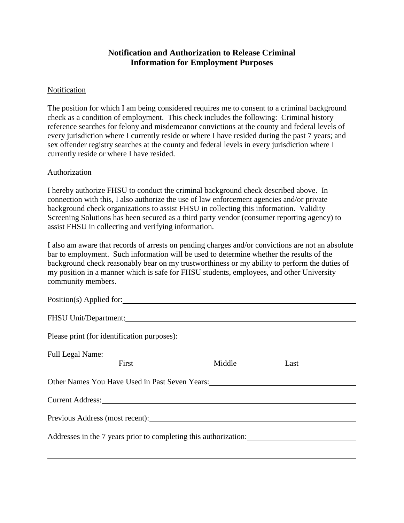## **Notification and Authorization to Release Criminal Information for Employment Purposes**

## **Notification**

The position for which I am being considered requires me to consent to a criminal background check as a condition of employment. This check includes the following: Criminal history reference searches for felony and misdemeanor convictions at the county and federal levels of every jurisdiction where I currently reside or where I have resided during the past 7 years; and sex offender registry searches at the county and federal levels in every jurisdiction where I currently reside or where I have resided.

## Authorization

I hereby authorize FHSU to conduct the criminal background check described above. In connection with this, I also authorize the use of law enforcement agencies and/or private background check organizations to assist FHSU in collecting this information. Validity Screening Solutions has been secured as a third party vendor (consumer reporting agency) to assist FHSU in collecting and verifying information.

I also am aware that records of arrests on pending charges and/or convictions are not an absolute bar to employment. Such information will be used to determine whether the results of the background check reasonably bear on my trustworthiness or my ability to perform the duties of my position in a manner which is safe for FHSU students, employees, and other University community members.

| Position(s) Applied for:                                                                                                                                                                                                       |        |      |  |  |
|--------------------------------------------------------------------------------------------------------------------------------------------------------------------------------------------------------------------------------|--------|------|--|--|
| FHSU Unit/Department:                                                                                                                                                                                                          |        |      |  |  |
| Please print (for identification purposes):                                                                                                                                                                                    |        |      |  |  |
| Full Legal Name: 1988 Manual Manual Manual Manual Manual Manual Manual Manual Manual Manual Manual Manual Manual Manual Manual Manual Manual Manual Manual Manual Manual Manual Manual Manual Manual Manual Manual Manual Manu |        |      |  |  |
| First                                                                                                                                                                                                                          | Middle | Last |  |  |
| Other Names You Have Used in Past Seven Years:                                                                                                                                                                                 |        |      |  |  |
| Current Address: Universe of Address Current Address:                                                                                                                                                                          |        |      |  |  |
| Previous Address (most recent):                                                                                                                                                                                                |        |      |  |  |
| Addresses in the 7 years prior to completing this authorization:                                                                                                                                                               |        |      |  |  |
|                                                                                                                                                                                                                                |        |      |  |  |